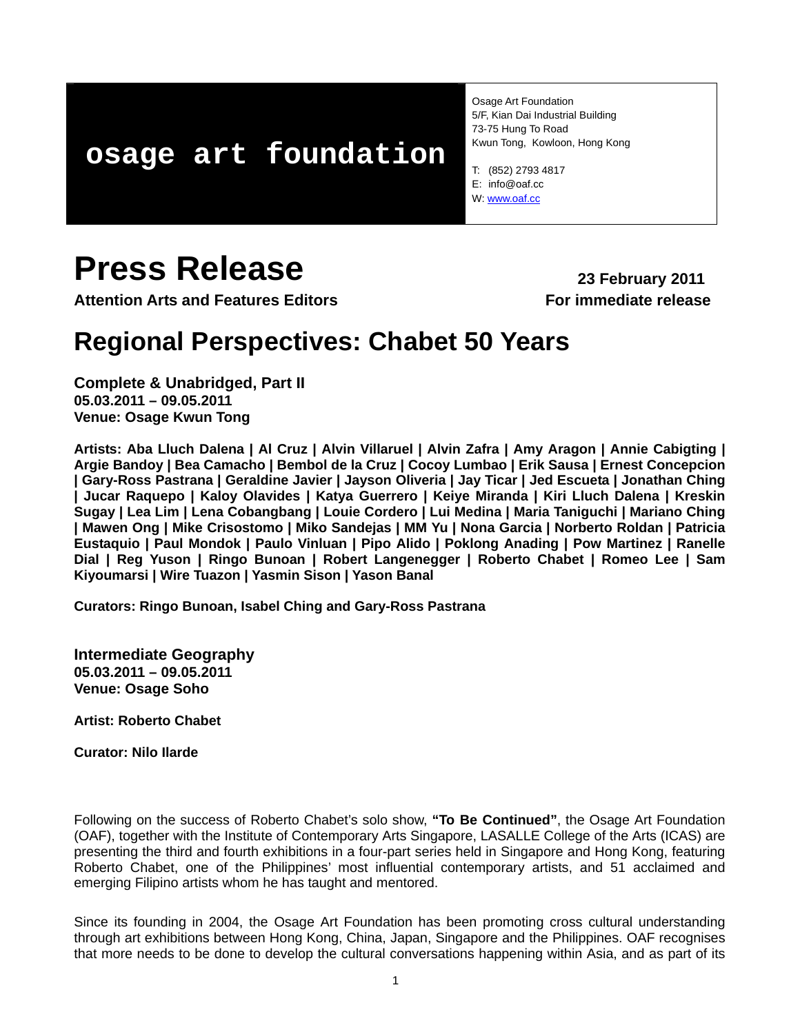# **osage art foundation**

Osage Art Foundation 5/F, Kian Dai Industrial Building 73-75 Hung To Road Kwun Tong, Kowloon, Hong Kong

T: (852) 2793 4817 E: info@oaf.cc W: [www.oaf.cc](http://www.oaf.cc/) 

# **Press Release** 23 February 2011

**Attention Arts and Features Editors For immediate release**

# **Regional Perspectives: Chabet 50 Years**

**Complete & Unabridged, Part II 05.03.2011 – 09.05.2011 Venue: Osage Kwun Tong** 

**Artists: Aba Lluch Dalena | Al Cruz | Alvin Villaruel | Alvin Zafra | Amy Aragon | Annie Cabigting | Argie Bandoy | Bea Camacho | Bembol de la Cruz | Cocoy Lumbao | Erik Sausa | Ernest Concepcion | Gary-Ross Pastrana | Geraldine Javier | Jayson Oliveria | Jay Ticar | Jed Escueta | Jonathan Ching | Jucar Raquepo | Kaloy Olavides | Katya Guerrero | Keiye Miranda | Kiri Lluch Dalena | Kreskin Sugay | Lea Lim | Lena Cobangbang | Louie Cordero | Lui Medina | Maria Taniguchi | Mariano Ching | Mawen Ong | Mike Crisostomo | Miko Sandejas | MM Yu | Nona Garcia | Norberto Roldan | Patricia Eustaquio | Paul Mondok | Paulo Vinluan | Pipo Alido | Poklong Anading | Pow Martinez | Ranelle Dial | Reg Yuson | Ringo Bunoan | Robert Langenegger | Roberto Chabet | Romeo Lee | Sam Kiyoumarsi | Wire Tuazon | Yasmin Sison | Yason Banal** 

**Curators: Ringo Bunoan, Isabel Ching and Gary-Ross Pastrana** 

**Intermediate Geography 05.03.2011 – 09.05.2011 Venue: Osage Soho** 

**Artist: Roberto Chabet** 

**Curator: Nilo Ilarde** 

Following on the success of Roberto Chabet's solo show, **"To Be Continued"**, the Osage Art Foundation (OAF), together with the Institute of Contemporary Arts Singapore, LASALLE College of the Arts (ICAS) are presenting the third and fourth exhibitions in a four-part series held in Singapore and Hong Kong, featuring Roberto Chabet, one of the Philippines' most influential contemporary artists, and 51 acclaimed and emerging Filipino artists whom he has taught and mentored.

Since its founding in 2004, the Osage Art Foundation has been promoting cross cultural understanding through art exhibitions between Hong Kong, China, Japan, Singapore and the Philippines. OAF recognises that more needs to be done to develop the cultural conversations happening within Asia, and as part of its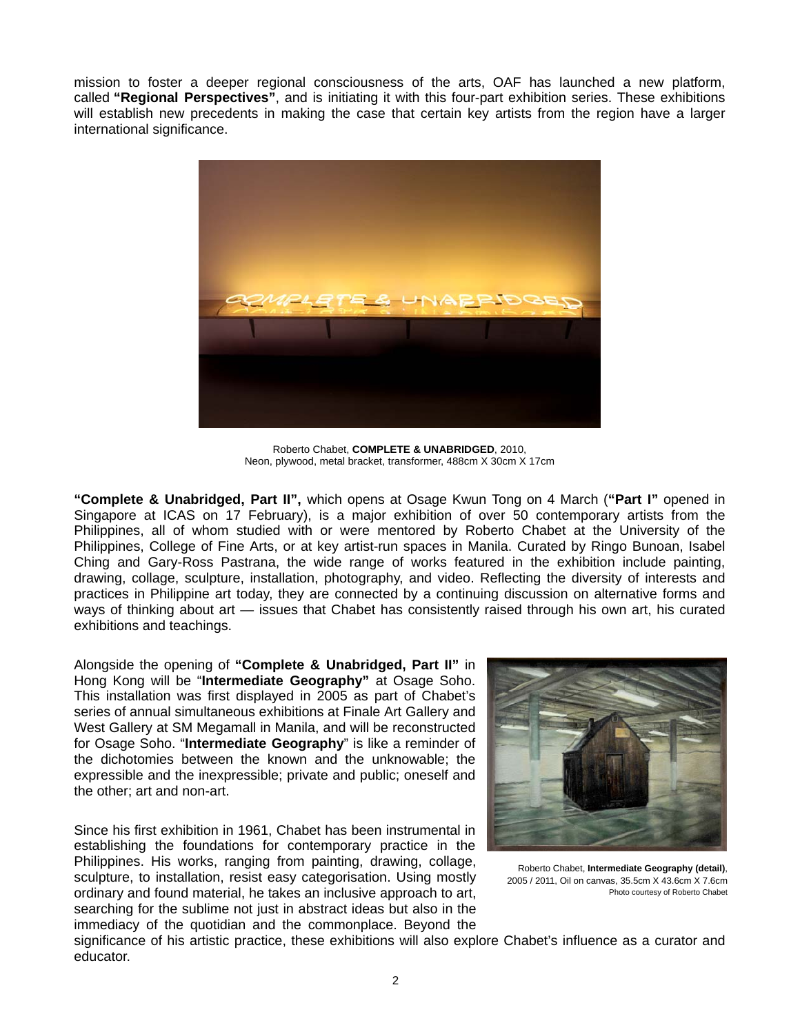mission to foster a deeper regional consciousness of the arts, OAF has launched a new platform, called **"Regional Perspectives"**, and is initiating it with this four-part exhibition series. These exhibitions will establish new precedents in making the case that certain key artists from the region have a larger international significance.



Roberto Chabet, **COMPLETE & UNABRIDGED**, 2010, Neon, plywood, metal bracket, transformer, 488cm X 30cm X 17cm

**"Complete & Unabridged, Part II",** which opens at Osage Kwun Tong on 4 March (**"Part I"** opened in Singapore at ICAS on 17 February), is a major exhibition of over 50 contemporary artists from the Philippines, all of whom studied with or were mentored by Roberto Chabet at the University of the Philippines, College of Fine Arts, or at key artist-run spaces in Manila. Curated by Ringo Bunoan, Isabel Ching and Gary-Ross Pastrana, the wide range of works featured in the exhibition include painting, drawing, collage, sculpture, installation, photography, and video. Reflecting the diversity of interests and practices in Philippine art today, they are connected by a continuing discussion on alternative forms and ways of thinking about art — issues that Chabet has consistently raised through his own art, his curated exhibitions and teachings.

Alongside the opening of **"Complete & Unabridged, Part II"** in Hong Kong will be "**Intermediate Geography"** at Osage Soho. This installation was first displayed in 2005 as part of Chabet's series of annual simultaneous exhibitions at Finale Art Gallery and West Gallery at SM Megamall in Manila, and will be reconstructed for Osage Soho. "**Intermediate Geography**" is like a reminder of the dichotomies between the known and the unknowable; the expressible and the inexpressible; private and public; oneself and the other; art and non-art.

Since his first exhibition in 1961, Chabet has been instrumental in establishing the foundations for contemporary practice in the Philippines. His works, ranging from painting, drawing, collage, sculpture, to installation, resist easy categorisation. Using mostly ordinary and found material, he takes an inclusive approach to art, searching for the sublime not just in abstract ideas but also in the immediacy of the quotidian and the commonplace. Beyond the



Roberto Chabet, **Intermediate Geography (detail)**, 2005 / 2011, Oil on canvas, 35.5cm X 43.6cm X 7.6cm Photo courtesy of Roberto Chabet

significance of his artistic practice, these exhibitions will also explore Chabet's influence as a curator and educator.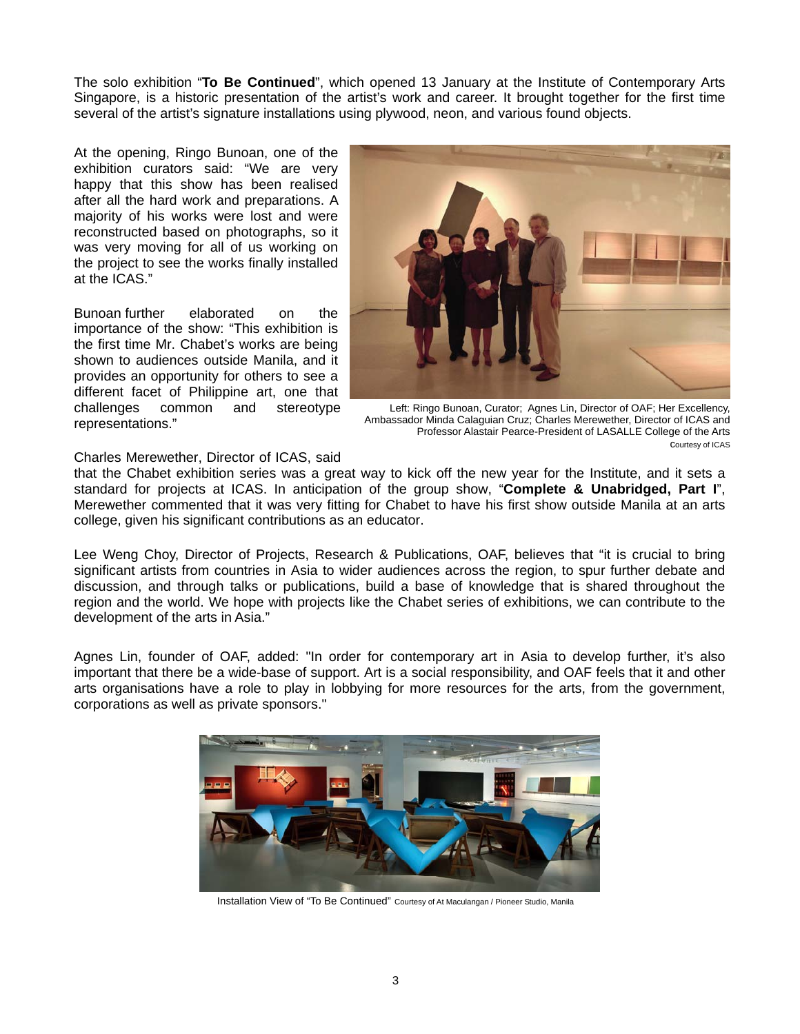The solo exhibition "**To Be Continued**", which opened 13 January at the Institute of Contemporary Arts Singapore, is a historic presentation of the artist's work and career. It brought together for the first time several of the artist's signature installations u sing plywood, neon, and various found objects.

At the op ening, Ringo Bunoan, one of the exhibition curators said: "We are very happy that this show has been realised after all the hard work and preparations. A majority of his works were lost and were reconstructed based on photographs, so it was very moving for all of us working on the project to see the works finally installed at the ICAS."

elaborated on the importance of the show: "This exhibition is Bunoan furthe the first time Mr. Chabet's works are being shown to audiences outside Manila, and it provides an opportunity for others to see a different facet of Philippine art, one that challenges common and stereotype representations."



 Left: Ringo Bunoan, Curator; Agnes Lin, Director of OAF; Her Excellency, Ambassador Minda Calaguian Cruz; Charles Merewether, Director of ICAS and Professor Alastair Pearce-President of LASALLE College of the Arts courtesy of ICAS

#### Charles Merewether, Director of ICAS, said

that the Chabet exhibition series was a great way to kick off the new year for the Institute, and it sets a standard for projects at ICAS. In anticipation of the group show, "**Complete & Unabridged, Part I**", Merewether commented that it was very fitting for Chabet to have his first show outside Manila at an arts college, given his significant contributions as an educator.

Lee Weng Choy, Director of Projects, Research & Publications, OAF, believes that "it is crucial to bring significant artists from countries in Asia to wider audiences across the region, to spur further debate and discussion, and through talks or publications, build a base of knowledge that is shared throughout the region and the world. We hope with projects like the Chabet series of exhibitions, we can contribute to the development of the arts in Asia."

Agnes Lin, founder of OAF, added: "In order for contemporary art in Asia to develop further, it's also important that there be a wide-base of support. Art is a social responsibility, and OAF feels that it and other arts organisations have a role to play in lobbying for more resources for the arts, from the government, corporations as well as private sponsors."



Installation View of "To Be Continued" Courtesy of At Maculangan / Pioneer Studio, Manila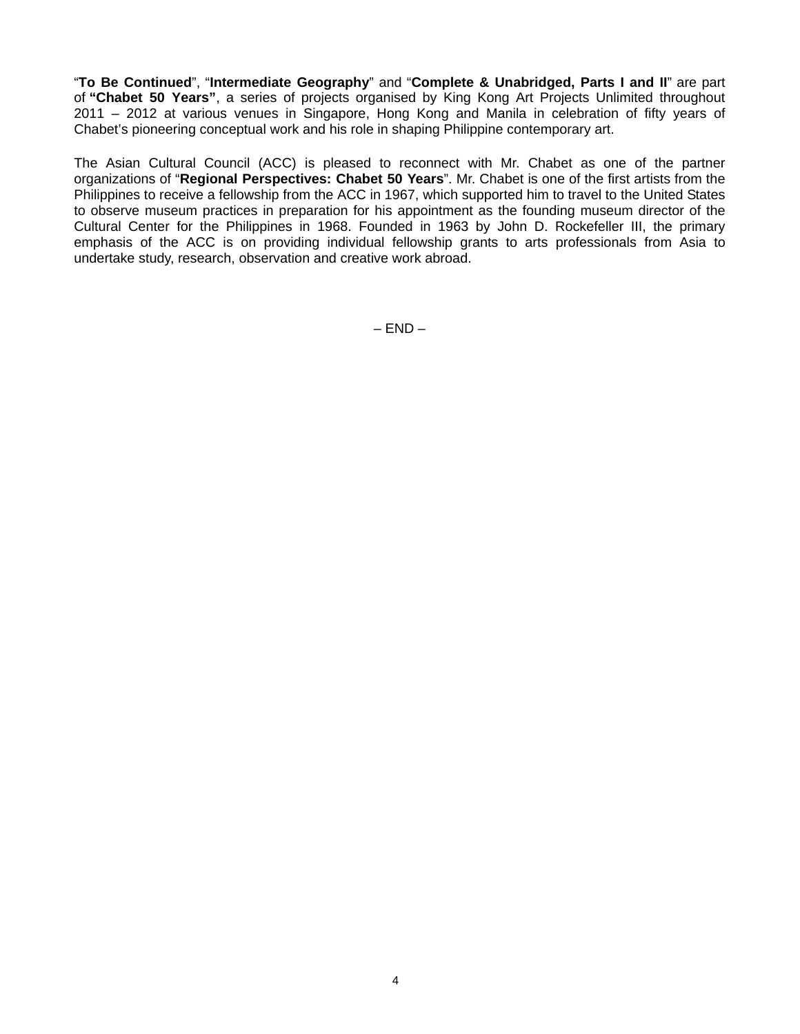"**To Be Continued**", "**Intermediate Geography**" and "**Complete & Unabridged, Parts I and II**" are part of **"Chabet 50 Years"**, a series of projects organised by King Kong Art Projects Unlimited throughout 2011 – 2012 at various venues in Singapore, Hong Kong and Manila in celebration of fifty years of Chabet's pioneering conceptual work and his role in shaping Philippine contemporary art.

The Asian Cultural Council (ACC) is pleased to reconnect with Mr. Chabet as one of the partner organizations of "**Regional Perspectives: Chabet 50 Years**". Mr. Chabet is one of the first artists from the Philippines to receive a fellowship from the ACC in 1967, which supported him to travel to the United States to observe museum practices in preparation for his appointment as the founding museum director of the Cultural Center for the Philippines in 1968. Founded in 1963 by John D. Rockefeller III, the primary emphasis of the ACC is on providing individual fellowship grants to arts professionals from Asia to undertake study, research, observation and creative work abroad.

 $-$  END  $-$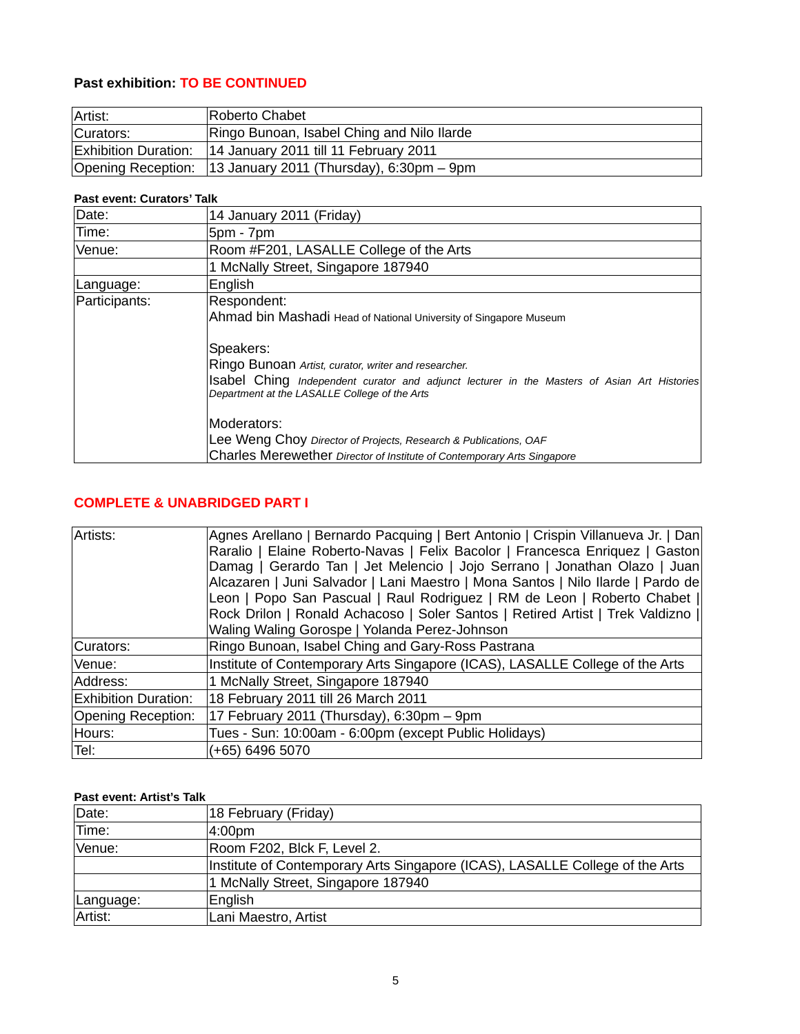# **Past exhibition: TO BE CONTINUED**

| Artist:                     | Roberto Chabet                                              |
|-----------------------------|-------------------------------------------------------------|
| Curators:                   | Ringo Bunoan, Isabel Ching and Nilo Ilarde                  |
| <b>Exhibition Duration:</b> | 14 January 2011 till 11 February 2011                       |
|                             | Opening Reception: 13 January 2011 (Thursday), 6:30pm - 9pm |

#### **Past event: Curators' Talk**

| Date:                                                            | 14 January 2011 (Friday)                                                                                                                     |  |  |  |
|------------------------------------------------------------------|----------------------------------------------------------------------------------------------------------------------------------------------|--|--|--|
| Time:                                                            | 5pm - 7pm                                                                                                                                    |  |  |  |
| Venue:                                                           | Room #F201, LASALLE College of the Arts                                                                                                      |  |  |  |
|                                                                  | 1 McNally Street, Singapore 187940                                                                                                           |  |  |  |
| Language:                                                        | English                                                                                                                                      |  |  |  |
| Participants:                                                    | Respondent:<br>Ahmad bin Mashadi Head of National University of Singapore Museum                                                             |  |  |  |
|                                                                  |                                                                                                                                              |  |  |  |
|                                                                  | Speakers:                                                                                                                                    |  |  |  |
| Ringo Bunoan Artist, curator, writer and researcher.             |                                                                                                                                              |  |  |  |
|                                                                  | Isabel Ching Independent curator and adjunct lecturer in the Masters of Asian Art Histories<br>Department at the LASALLE College of the Arts |  |  |  |
|                                                                  | Moderators:                                                                                                                                  |  |  |  |
| Lee Weng Choy Director of Projects, Research & Publications, OAF |                                                                                                                                              |  |  |  |
|                                                                  | Charles Merewether Director of Institute of Contemporary Arts Singapore                                                                      |  |  |  |

## **COMPLETE & UNABRIDGED PART I**

| Artists:                    | Agnes Arellano   Bernardo Pacquing   Bert Antonio   Crispin Villanueva Jr.   Dan<br>Raralio   Elaine Roberto-Navas   Felix Bacolor   Francesca Enriquez   Gaston<br>Damag   Gerardo Tan   Jet Melencio   Jojo Serrano   Jonathan Olazo   Juan<br>Alcazaren   Juni Salvador   Lani Maestro   Mona Santos   Nilo Ilarde   Pardo de<br>Leon   Popo San Pascual   Raul Rodriguez   RM de Leon   Roberto Chabet   <br>Rock Drilon   Ronald Achacoso   Soler Santos   Retired Artist   Trek Valdizno   <br>Waling Waling Gorospe   Yolanda Perez-Johnson |  |
|-----------------------------|----------------------------------------------------------------------------------------------------------------------------------------------------------------------------------------------------------------------------------------------------------------------------------------------------------------------------------------------------------------------------------------------------------------------------------------------------------------------------------------------------------------------------------------------------|--|
| Curators:                   | Ringo Bunoan, Isabel Ching and Gary-Ross Pastrana                                                                                                                                                                                                                                                                                                                                                                                                                                                                                                  |  |
| Venue:                      | Institute of Contemporary Arts Singapore (ICAS), LASALLE College of the Arts                                                                                                                                                                                                                                                                                                                                                                                                                                                                       |  |
| Address:                    | 1 McNally Street, Singapore 187940                                                                                                                                                                                                                                                                                                                                                                                                                                                                                                                 |  |
| <b>Exhibition Duration:</b> | 18 February 2011 till 26 March 2011                                                                                                                                                                                                                                                                                                                                                                                                                                                                                                                |  |
| Opening Reception:          | 17 February 2011 (Thursday), 6:30pm - 9pm                                                                                                                                                                                                                                                                                                                                                                                                                                                                                                          |  |
| Hours:                      | Tues - Sun: 10:00am - 6:00pm (except Public Holidays)                                                                                                                                                                                                                                                                                                                                                                                                                                                                                              |  |
| Tel:                        | (+65) 6496 5070                                                                                                                                                                                                                                                                                                                                                                                                                                                                                                                                    |  |

### **Past event: Artist's Talk**

| Date:     | 18 February (Friday)                                                         |  |
|-----------|------------------------------------------------------------------------------|--|
| Time:     | 4:00 <sub>pm</sub>                                                           |  |
| Venue:    | Room F202, Blck F, Level 2.                                                  |  |
|           | Institute of Contemporary Arts Singapore (ICAS), LASALLE College of the Arts |  |
|           | 1 McNally Street, Singapore 187940                                           |  |
| Language: | English                                                                      |  |
| Artist:   | Lani Maestro, Artist                                                         |  |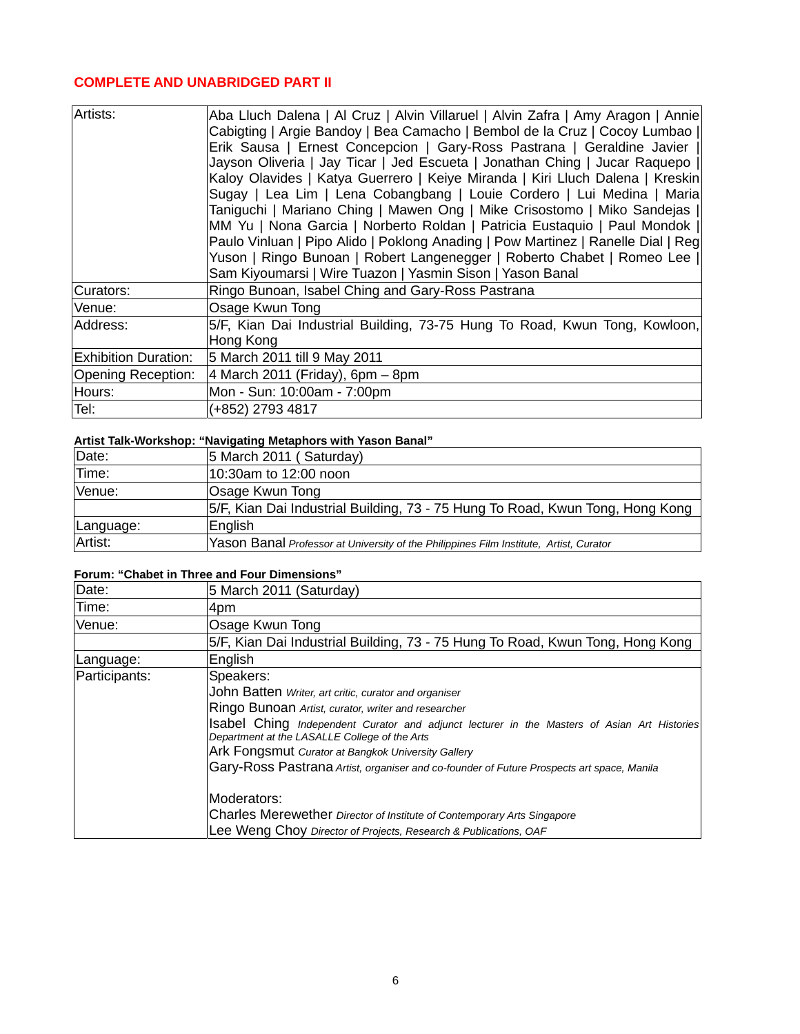### **COMPLETE AND UNABRIDGED PART II**

| Artists:                    | Aba Lluch Dalena   Al Cruz   Alvin Villaruel   Alvin Zafra   Amy Aragon   Annie<br>Cabigting   Argie Bandoy   Bea Camacho   Bembol de la Cruz   Cocoy Lumbao   <br>Erik Sausa   Ernest Concepcion   Gary-Ross Pastrana   Geraldine Javier  <br>Jayson Oliveria   Jay Ticar   Jed Escueta   Jonathan Ching   Jucar Raquepo   <br>Kaloy Olavides   Katya Guerrero   Keiye Miranda   Kiri Lluch Dalena   Kreskin<br>Sugay   Lea Lim   Lena Cobangbang   Louie Cordero   Lui Medina   Maria<br>Taniguchi   Mariano Ching   Mawen Ong   Mike Crisostomo   Miko Sandejas  <br>MM Yu   Nona Garcia   Norberto Roldan   Patricia Eustaquio   Paul Mondok   <br>Paulo Vinluan   Pipo Alido   Poklong Anading   Pow Martinez   Ranelle Dial   Reg<br>Yuson   Ringo Bunoan   Robert Langenegger   Roberto Chabet   Romeo Lee   <br>Sam Kiyoumarsi   Wire Tuazon   Yasmin Sison   Yason Banal |
|-----------------------------|-----------------------------------------------------------------------------------------------------------------------------------------------------------------------------------------------------------------------------------------------------------------------------------------------------------------------------------------------------------------------------------------------------------------------------------------------------------------------------------------------------------------------------------------------------------------------------------------------------------------------------------------------------------------------------------------------------------------------------------------------------------------------------------------------------------------------------------------------------------------------------------|
| Curators:                   | Ringo Bunoan, Isabel Ching and Gary-Ross Pastrana                                                                                                                                                                                                                                                                                                                                                                                                                                                                                                                                                                                                                                                                                                                                                                                                                                 |
| Venue:                      | Osage Kwun Tong                                                                                                                                                                                                                                                                                                                                                                                                                                                                                                                                                                                                                                                                                                                                                                                                                                                                   |
| Address:                    | 5/F, Kian Dai Industrial Building, 73-75 Hung To Road, Kwun Tong, Kowloon,<br>Hong Kong                                                                                                                                                                                                                                                                                                                                                                                                                                                                                                                                                                                                                                                                                                                                                                                           |
| <b>Exhibition Duration:</b> | 5 March 2011 till 9 May 2011                                                                                                                                                                                                                                                                                                                                                                                                                                                                                                                                                                                                                                                                                                                                                                                                                                                      |
| Opening Reception:          | $4$ March 2011 (Friday), 6pm – 8pm                                                                                                                                                                                                                                                                                                                                                                                                                                                                                                                                                                                                                                                                                                                                                                                                                                                |
| Hours:                      | Mon - Sun: 10:00am - 7:00pm                                                                                                                                                                                                                                                                                                                                                                                                                                                                                                                                                                                                                                                                                                                                                                                                                                                       |
| Tel:                        | (+852) 2793 4817                                                                                                                                                                                                                                                                                                                                                                                                                                                                                                                                                                                                                                                                                                                                                                                                                                                                  |

# **Artist Talk-Workshop: "Navigating Metaphors with Yason Banal"**

| Date:     | 5 March 2011 (Saturday)                                                                |
|-----------|----------------------------------------------------------------------------------------|
| Time:     | 10:30am to 12:00 noon                                                                  |
| Venue:    | Osage Kwun Tong                                                                        |
|           | 5/F, Kian Dai Industrial Building, 73 - 75 Hung To Road, Kwun Tong, Hong Kong          |
| Language: | English                                                                                |
| Artist:   | Yason Banal Professor at University of the Philippines Film Institute, Artist, Curator |

#### **Forum: "Chabet in Three and Four Dimensions"**

| Date:         | 5 March 2011 (Saturday)                                                                                                                      |  |  |
|---------------|----------------------------------------------------------------------------------------------------------------------------------------------|--|--|
| Time:         | 4pm                                                                                                                                          |  |  |
| Venue:        | Osage Kwun Tong                                                                                                                              |  |  |
|               | 5/F, Kian Dai Industrial Building, 73 - 75 Hung To Road, Kwun Tong, Hong Kong                                                                |  |  |
| Language:     | English                                                                                                                                      |  |  |
| Participants: | Speakers:                                                                                                                                    |  |  |
|               | John Batten Writer, art critic, curator and organiser                                                                                        |  |  |
|               | Ringo Bunoan Artist, curator, writer and researcher                                                                                          |  |  |
|               | Isabel Ching Independent Curator and adjunct lecturer in the Masters of Asian Art Histories<br>Department at the LASALLE College of the Arts |  |  |
|               | Ark Fongsmut Curator at Bangkok University Gallery                                                                                           |  |  |
|               | Gary-Ross Pastrana Artist, organiser and co-founder of Future Prospects art space, Manila                                                    |  |  |
|               | Moderators:                                                                                                                                  |  |  |
|               | Charles Merewether Director of Institute of Contemporary Arts Singapore                                                                      |  |  |
|               | Lee Weng Choy Director of Projects, Research & Publications, OAF                                                                             |  |  |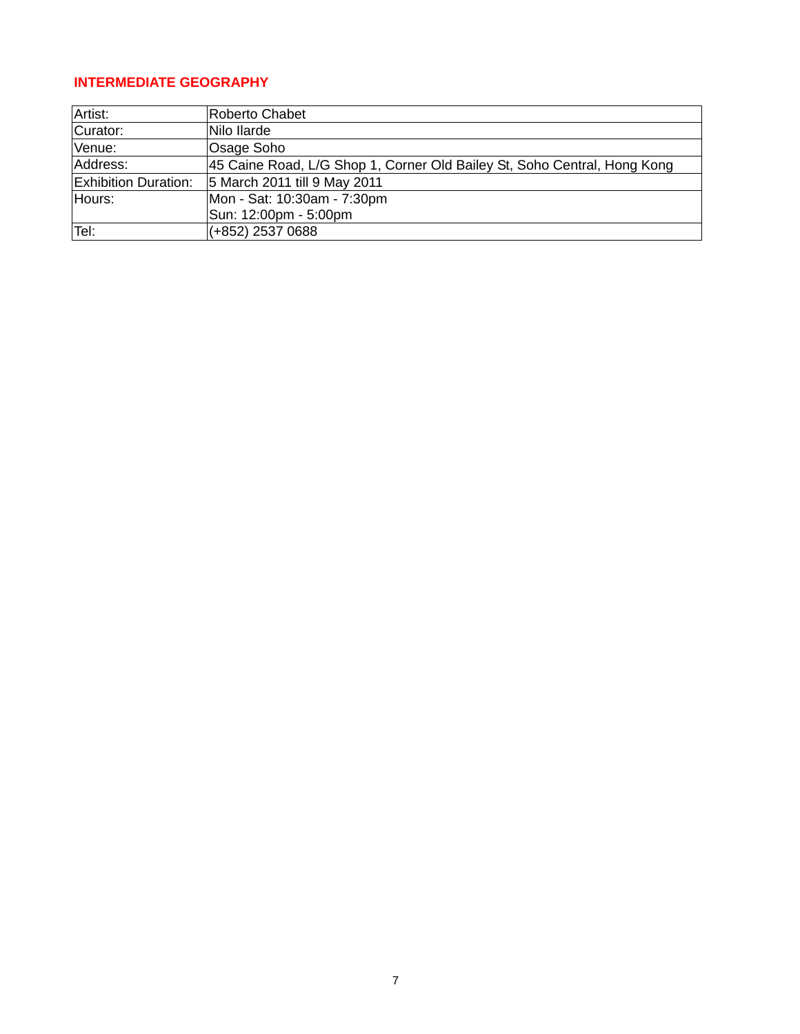# **INTERMEDIATE GEOGRAPHY**

| Artist:                     | <b>Roberto Chabet</b>                                                    |
|-----------------------------|--------------------------------------------------------------------------|
| Curator:                    | Nilo Ilarde                                                              |
| Venue:                      | Osage Soho                                                               |
| Address:                    | 45 Caine Road, L/G Shop 1, Corner Old Bailey St, Soho Central, Hong Kong |
| <b>Exhibition Duration:</b> | 5 March 2011 till 9 May 2011                                             |
| Hours:                      | Mon - Sat: 10:30am - 7:30pm                                              |
|                             | Sun: 12:00pm - 5:00pm                                                    |
| Tel:                        | (+852) 2537 0688                                                         |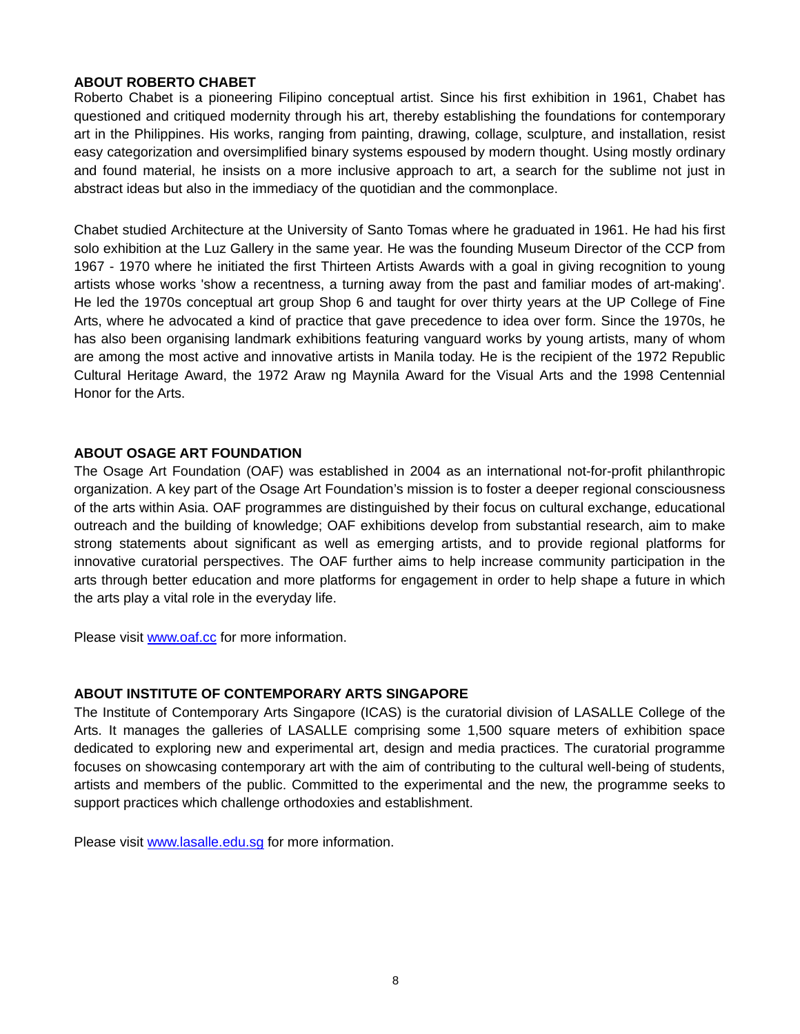#### **ABOUT ROBERTO CHABET**

Roberto Chabet is a pioneering Filipino conceptual artist. Since his first exhibition in 1961, Chabet has questioned and critiqued modernity through his art, thereby establishing the foundations for contemporary art in the Philippines. His works, ranging from painting, drawing, collage, sculpture, and installation, resist easy categorization and oversimplified binary systems espoused by modern thought. Using mostly ordinary and found material, he insists on a more inclusive approach to art, a search for the sublime not just in abstract ideas but also in the immediacy of the quotidian and the commonplace.

Chabet studied Architecture at the University of Santo Tomas where he graduated in 1961. He had his first solo exhibition at the Luz Gallery in the same year. He was the founding Museum Director of the CCP from 1967 - 1970 where he initiated the first Thirteen Artists Awards with a goal in giving recognition to young artists whose works 'show a recentness, a turning away from the past and familiar modes of art-making'. He led the 1970s conceptual art group Shop 6 and taught for over thirty years at the UP College of Fine Arts, where he advocated a kind of practice that gave precedence to idea over form. Since the 1970s, he has also been organising landmark exhibitions featuring vanguard works by young artists, many of whom are among the most active and innovative artists in Manila today. He is the recipient of the 1972 Republic Cultural Heritage Award, the 1972 Araw ng Maynila Award for the Visual Arts and the 1998 Centennial Honor for the Arts.

#### **ABOUT OSAGE ART FOUNDATION**

The Osage Art Foundation (OAF) was established in 2004 as an international not-for-profit philanthropic organization. A key part of the Osage Art Foundation's mission is to foster a deeper regional consciousness of the arts within Asia. OAF programmes are distinguished by their focus on cultural exchange, educational outreach and the building of knowledge; OAF exhibitions develop from substantial research, aim to make strong statements about significant as well as emerging artists, and to provide regional platforms for innovative curatorial perspectives. The OAF further aims to help increase community participation in the arts through better education and more platforms for engagement in order to help shape a future in which the arts play a vital role in the everyday life.

Please visit [www.oaf.cc](http://www.oaf.cc/) for more information.

#### **ABOUT INSTITUTE OF CONTEMPORARY ARTS SINGAPORE**

The Institute of Contemporary Arts Singapore (ICAS) is the curatorial division of LASALLE College of the Arts. It manages the galleries of LASALLE comprising some 1,500 square meters of exhibition space dedicated to exploring new and experimental art, design and media practices. The curatorial programme focuses on showcasing contemporary art with the aim of contributing to the cultural well-being of students, artists and members of the public. Committed to the experimental and the new, the programme seeks to support practices which challenge orthodoxies and establishment.

Please visit [www.lasalle.edu.sg](http://www.lasalle.edu.sg/) for more information.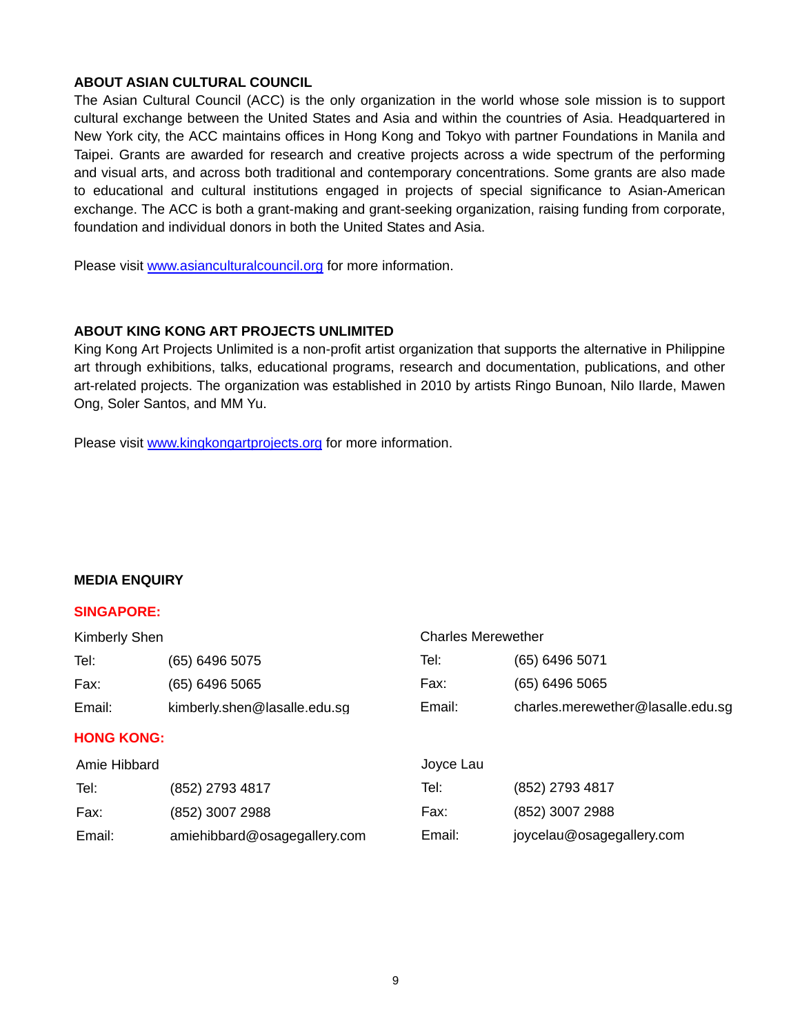#### **ABOUT ASIAN CULTURAL COUNCIL**

The Asian Cultural Council (ACC) is the only organization in the world whose sole mission is to support cultural exchange between the United States and Asia and within the countries of Asia. Headquartered in New York city, the ACC maintains offices in Hong Kong and Tokyo with partner Foundations in Manila and Taipei. Grants are awarded for research and creative projects across a wide spectrum of the performing and visual arts, and across both traditional and contemporary concentrations. Some grants are also made to educational and cultural institutions engaged in projects of special significance to Asian-American exchange. The ACC is both a grant-making and grant-seeking organization, raising funding from corporate, foundation and individual donors in both the United States and Asia.

Please visit [www.asianculturalcouncil.org](http://www.asianculturalcouncil.org/) for more information.

#### **ABOUT KING KONG ART PROJECTS UNLIMITED**

King Kong Art Projects Unlimited is a non-profit artist organization that supports the alternative in Philippine art through exhibitions, talks, educational programs, research and documentation, publications, and other art-related projects. The organization was established in 2010 by artists Ringo Bunoan, Nilo Ilarde, Mawen Ong, Soler Santos, and MM Yu.

Please visit [www.kingkongartprojects.org](http://www.kingkongartprojects.org/) for more information.

#### **MEDIA ENQUIRY**

#### **SINGAPORE:**

| Kimberly Shen     |                              | <b>Charles Merewether</b> |                                   |  |
|-------------------|------------------------------|---------------------------|-----------------------------------|--|
| Tel:              | (65) 6496 5075               | Tel:                      | (65) 6496 5071                    |  |
| Fax:              | (65) 6496 5065               | Fax:                      | (65) 6496 5065                    |  |
| Email:            | kimberly.shen@lasalle.edu.sg | Email:                    | charles.merewether@lasalle.edu.sg |  |
| <b>HONG KONG:</b> |                              |                           |                                   |  |
| Amie Hibbard      |                              | Joyce Lau                 |                                   |  |
| Tel:              | (852) 2793 4817              | Tel:                      | (852) 2793 4817                   |  |
| Fax:              | (852) 3007 2988              | Fax:                      | (852) 3007 2988                   |  |
| Email:            | amiehibbard@osagegallery.com | Email:                    | joycelau@osagegallery.com         |  |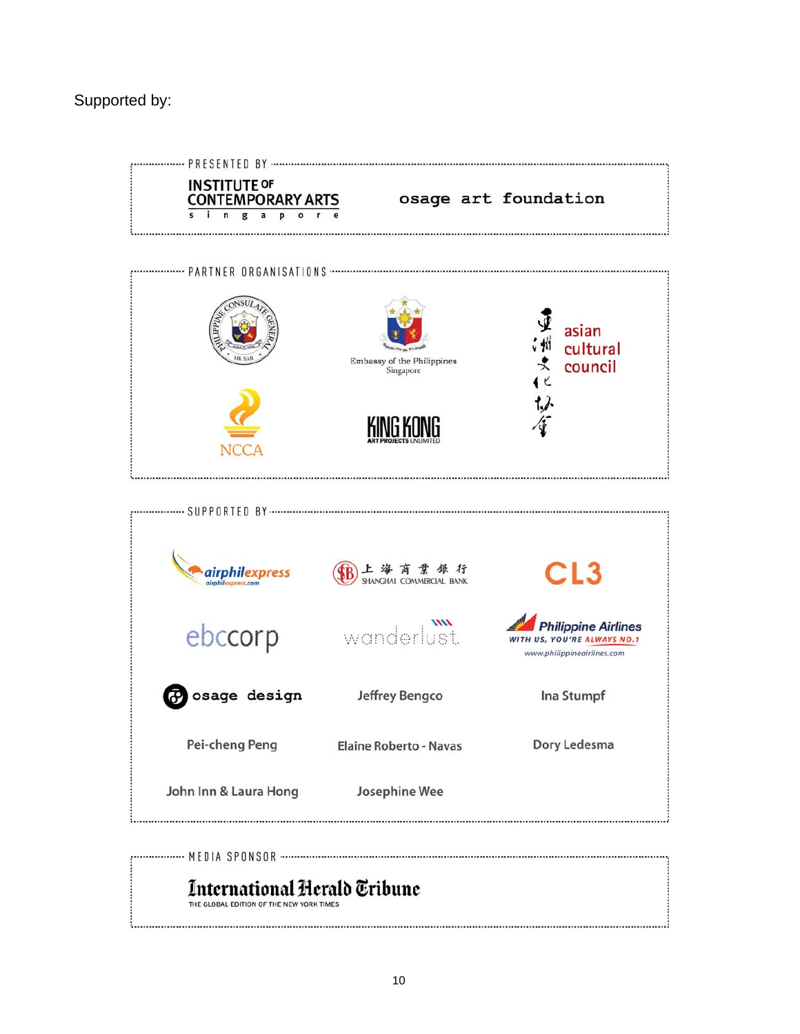# Supported by:



# International Herald Tribune

THE GLOBAL EDITION OF THE NEW YORK TIMES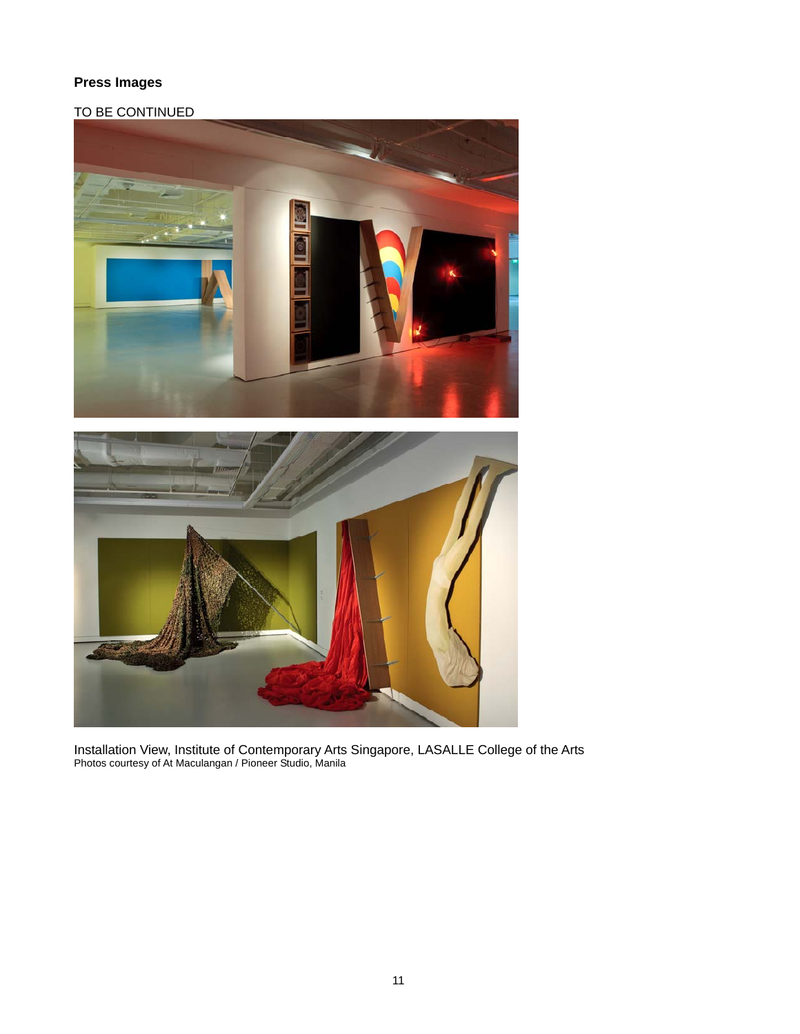# **Press Images**

# TO BE CONTINUED



Installation View, Institute of Contemporary Arts Singapore, LASALLE College of the Arts Photos courtesy of At Maculangan / Pioneer Studio, Manila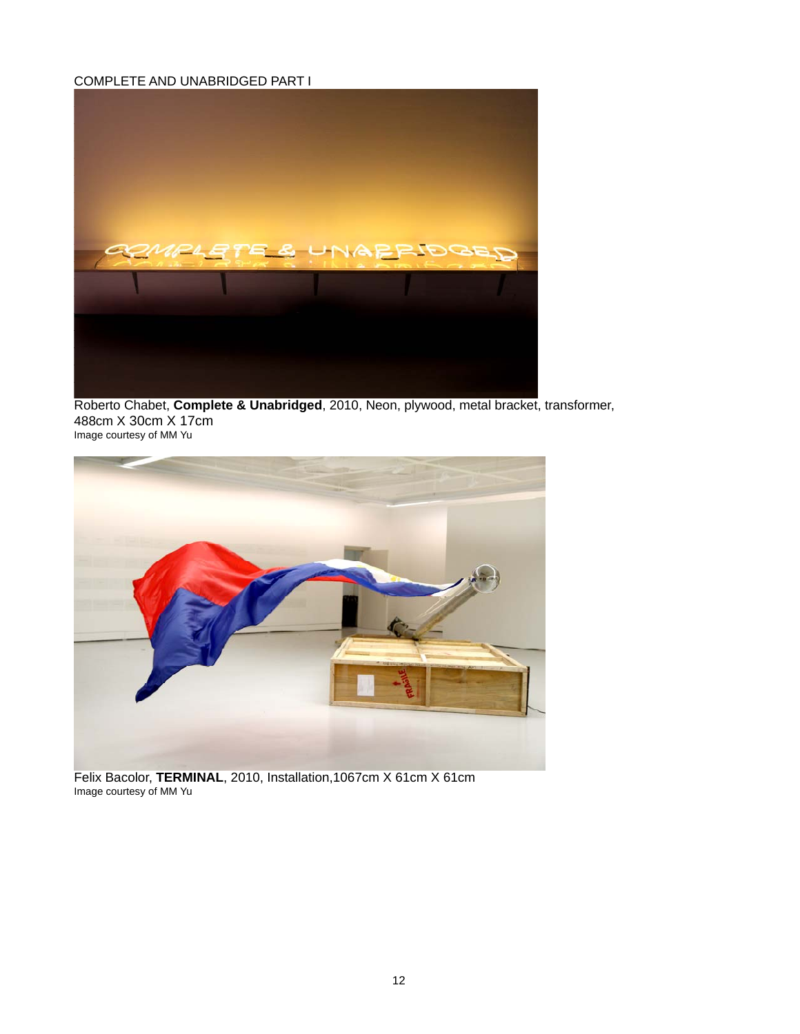#### COMPLETE AND UNABRIDGED PART I



Roberto Chabet, **Complete & Unabridged**, 2010, Neon, plywood, metal bracket, transformer, 488cm X 30cm X 17cm Image courtesy of MM Yu



Felix Bacolor, **TERMINAL**, 2010, Installation,1067cm X 61cm X 61cm Image courtesy of MM Yu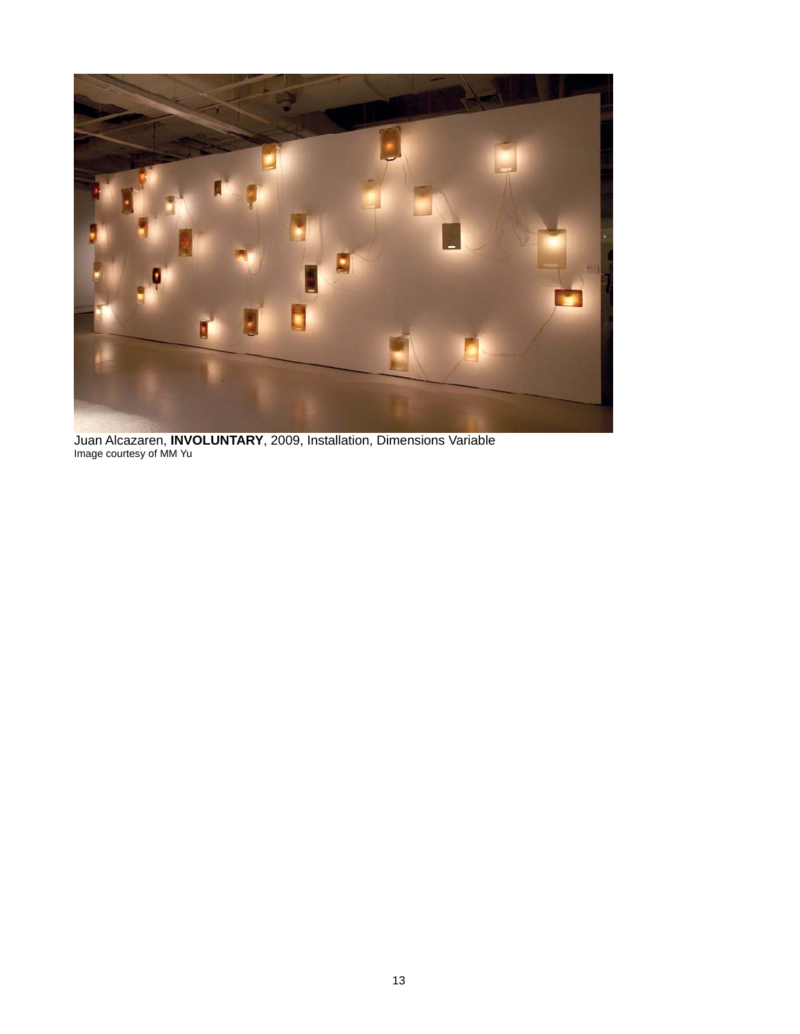

Juan Alcazaren, **INVOLUNTARY**, 2009, Installation, Dimensions Variable Image courtesy of MM Yu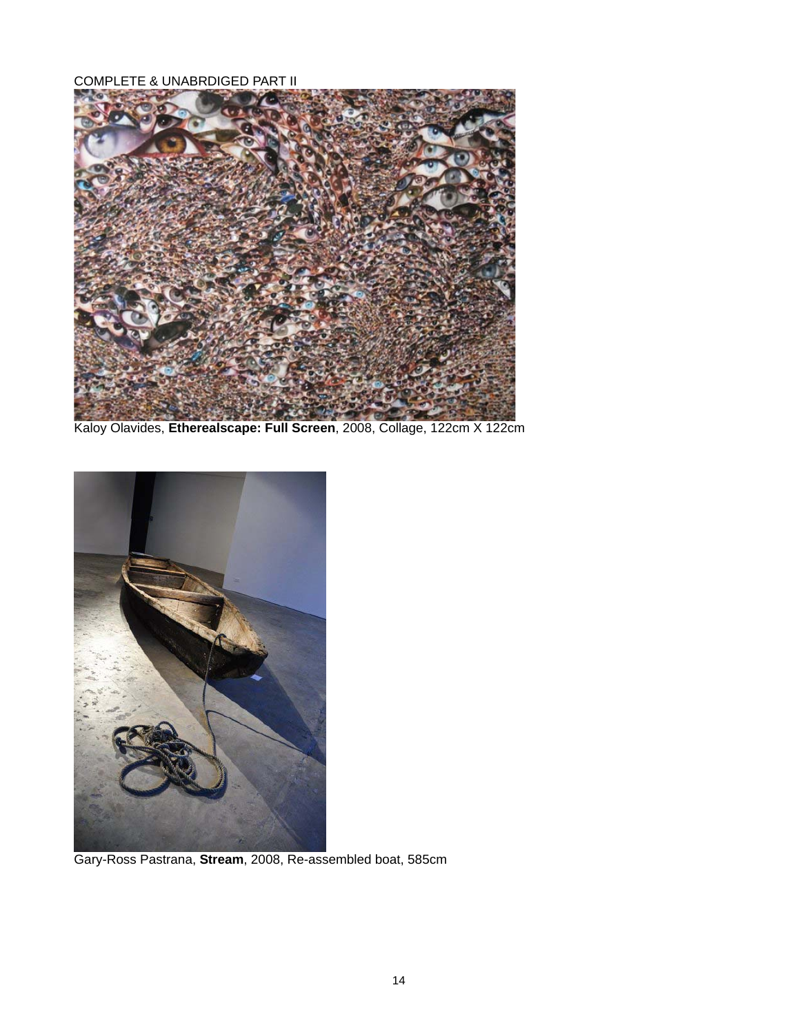COMPLETE & UNABRDIGED PART II



Kaloy Olavides, **Etherealscape: Full Screen**, 2008, Collage, 122cm X 122cm



Gary-Ross Pastrana, **Stream**, 2008, Re-assembled boat, 585cm